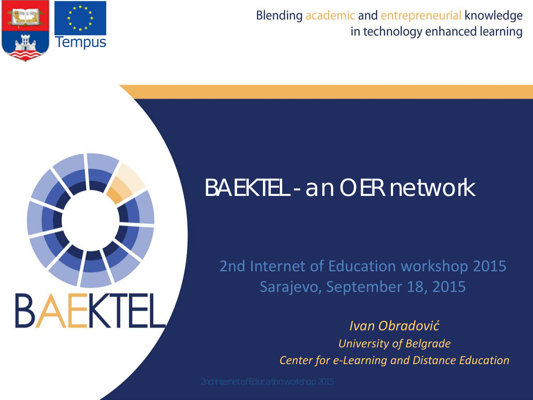



# **BAEKTEL**

#### BAEKTEL - an OER network

2nd Internet of Education workshop 2015 Sarajevo, September 18, 2015

> *Ivan Obradović University of Belgrade Center for e-Learning and Distance Education*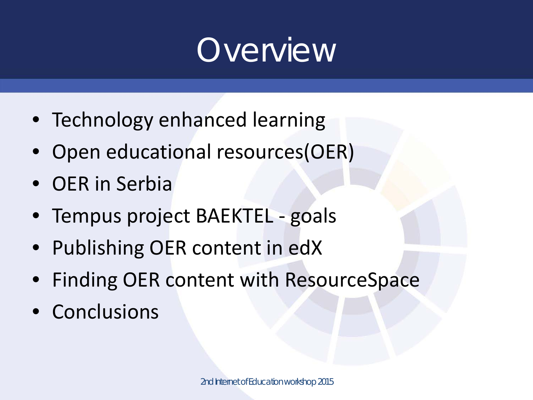# **Overview**

- Technology enhanced learning
- Open educational resources(OER)
- OER in Serbia
- Tempus project BAEKTEL goals
- Publishing OER content in edX
- Finding OER content with ResourceSpace
- Conclusions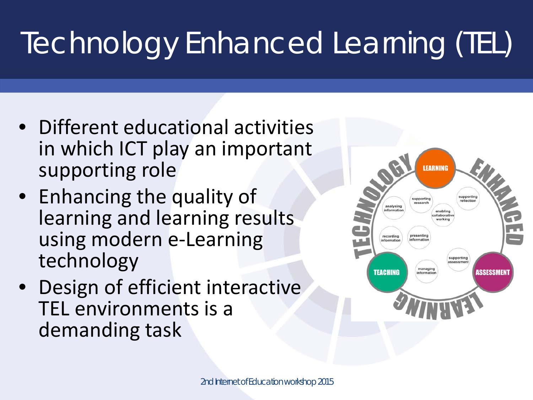# Technology Enhanced Learning (TEL)

- Different educational activities in which ICT play an important supporting role
- Enhancing the quality of learning and learning results using modern e-Learning technology
- Design of efficient interactive TEL environments is a demanding task

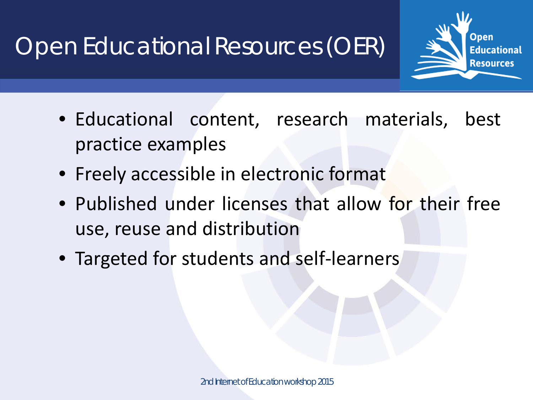Open Educational Resources (OER)

- Open **Educational Resources**
- Educational content, research materials, best practice examples
- Freely accessible in electronic format
- Published under licenses that allow for their free use, reuse and distribution
- Targeted for students and self-learners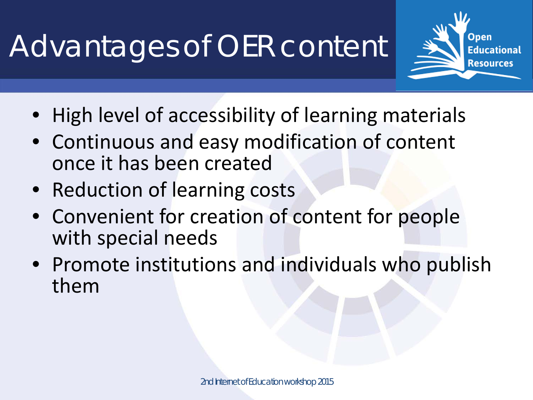# Advantages of OER content

- Open **Educational Resources**
- High level of accessibility of learning materials
- Continuous and easy modification of content once it has been created
- Reduction of learning costs
- Convenient for creation of content for people with special needs
- Promote institutions and individuals who publish them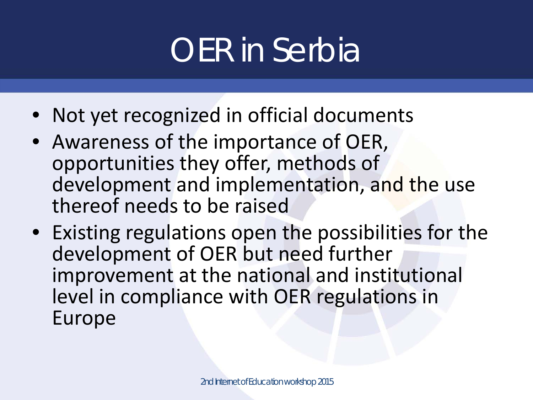# OER in Serbia

- Not yet recognized in official documents
- Awareness of the importance of OER, opportunities they offer, methods of development and implementation, and the use thereof needs to be raised
- Existing regulations open the possibilities for the development of OER but need further improvement at the national and institutional level in compliance with OER regulations in Europe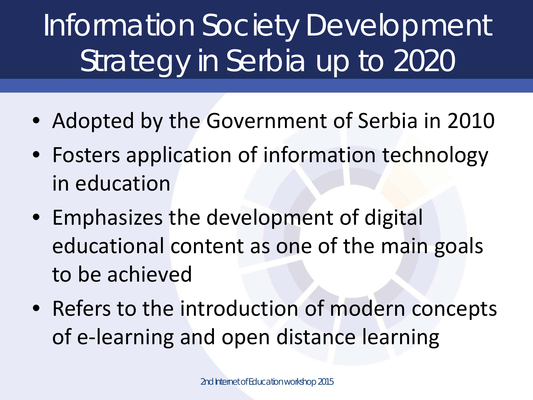# Information Society Development Strategy in Serbia up to 2020

- Adopted by the Government of Serbia in 2010
- Fosters application of information technology in education
- Emphasizes the development of digital educational content as one of the main goals to be achieved
- Refers to the introduction of modern concepts of e-learning and open distance learning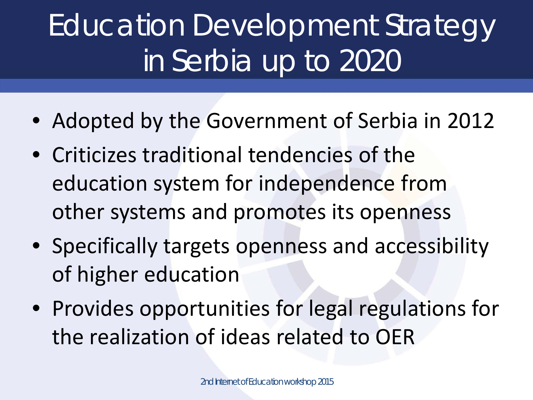# Education Development Strategy in Serbia up to 2020

- Adopted by the Government of Serbia in 2012
- Criticizes traditional tendencies of the education system for independence from other systems and promotes its openness
- Specifically targets openness and accessibility of higher education
- Provides opportunities for legal regulations for the realization of ideas related to OER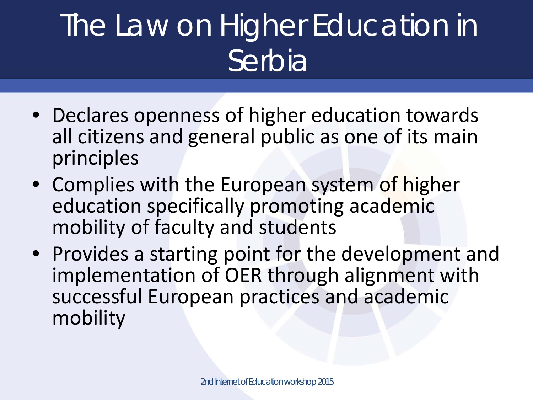# The Law on Higher Education in Serbia

- Declares openness of higher education towards all citizens and general public as one of its main principles
- Complies with the European system of higher education specifically promoting academic mobility of faculty and students
- Provides a starting point for the development and implementation of OER through alignment with successful European practices and academic mobility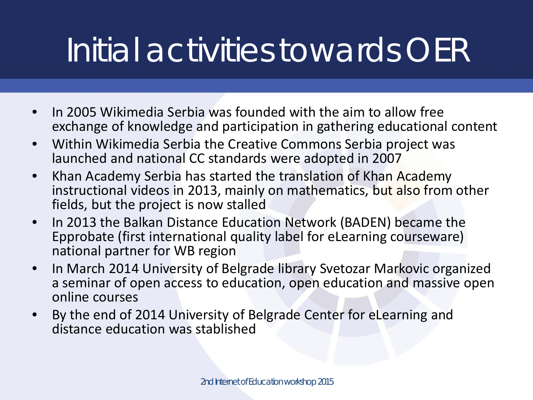# Initial activities towards OER

- In 2005 Wikimedia Serbia was founded with the aim to allow free exchange of knowledge and participation in gathering educational content
- Within Wikimedia Serbia the Creative Commons Serbia project was launched and national CC standards were adopted in 2007
- Khan Academy Serbia has started the translation of Khan Academy instructional videos in 2013, mainly on mathematics, but also from other fields, but the project is now stalled
- In 2013 the Balkan Distance Education Network (BADEN) became the Epprobate (first international quality label for eLearning courseware) national partner for WB region
- In March 2014 University of Belgrade library Svetozar Markovic organized a seminar of open access to education, open education and massive open online courses
- By the end of 2014 University of Belgrade Center for eLearning and distance education was stablished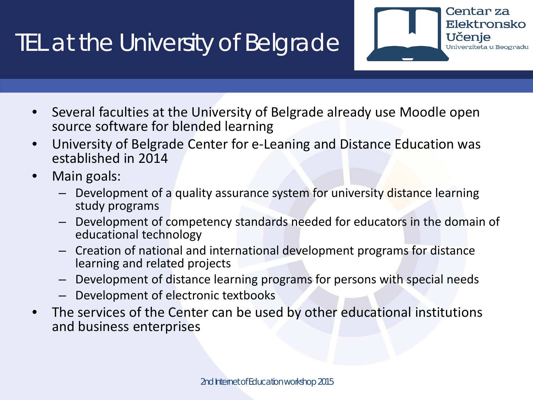#### TEL at the University of Belgrade

- Several faculties at the University of Belgrade already use Moodle open source software for blended learning
- University of Belgrade Center for e-Leaning and Distance Education was established in 2014
- Main goals:
	- Development of a quality assurance system for university distance learning study programs
	- Development of competency standards needed for educators in the domain of educational technology

Centar za

Učenje

Elektronsko

Univerziteta u Beogradu

- Creation of national and international development programs for distance learning and related projects
- Development of distance learning programs for persons with special needs
- Development of electronic textbooks
- The services of the Center can be used by other educational institutions and business enterprises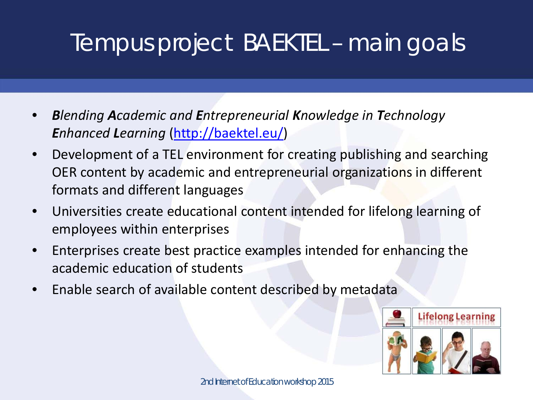#### Tempus project BAEKTEL – main goals

- *Blending Academic and Entrepreneurial Knowledge in Technology Enhanced Learning* ([http://baektel.eu/\)](http://baektel.eu/)
- Development of a TEL environment for creating publishing and searching OER content by academic and entrepreneurial organizations in different formats and different languages
- Universities create educational content intended for lifelong learning of employees within enterprises
- Enterprises create best practice examples intended for enhancing the academic education of students
- Enable search of available content described by metadata

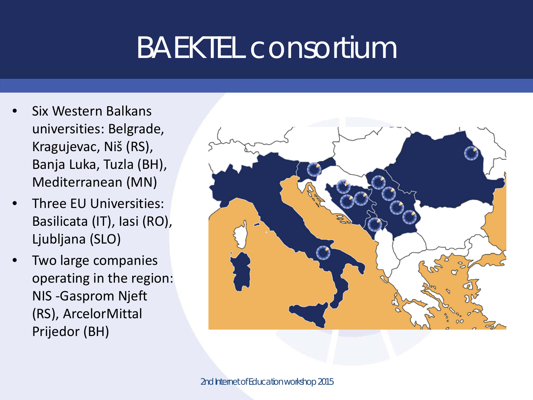### BAEKTEL consortium

- Six Western Balkans universities: Belgrade, Kragujevac, Niš (RS), Banja Luka, Tuzla (BH), Mediterranean (MN)
- Three EU Universities: Basilicata (IT), Iasi (RO), Ljubljana (SLO)
- Two large companies operating in the region: NIS -Gasprom Njeft (RS), ArcelorMittal Prijedor (BH)

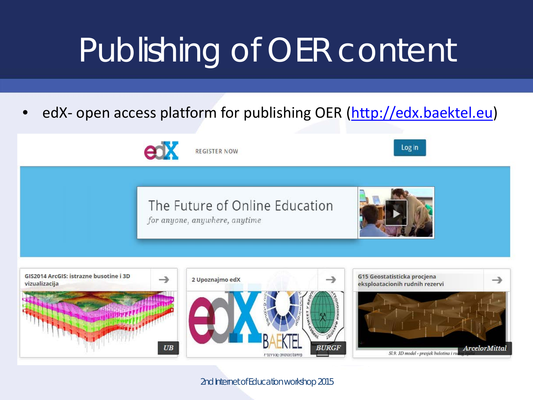# Publishing of OER content

edX- open access platform for publishing OER [\(http://edx.baektel.eu\)](http://edx.baektel.eu/)

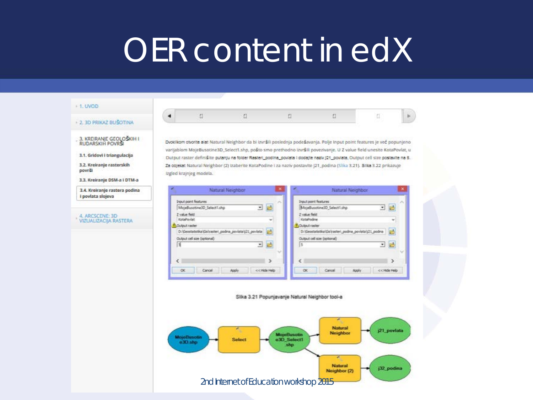## OER content in edX

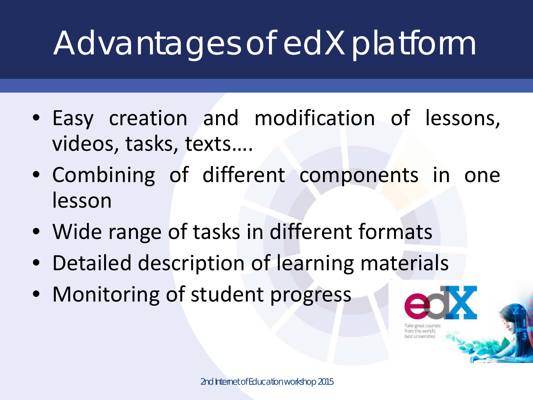# Advantages of edX platform

- Easy creation and modification of lessons, videos, tasks, texts….
- Combining of different components in one lesson
- Wide range of tasks in different formats
- Detailed description of learning materials
- Monitoring of student progress

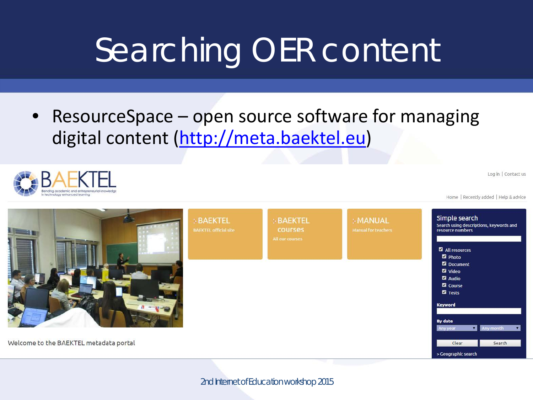# Searching OER content

• ResourceSpace – open source software for managing digital content [\(http://meta.baektel.eu](http://meta.baektel.eu/))



Log in | Contact us

Home | Recently added | Help & advice

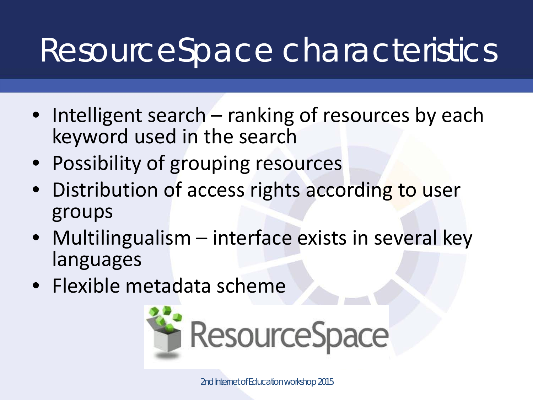# ResourceSpace characteristics

- Intelligent search ranking of resources by each keyword used in the search
- Possibility of grouping resources
- Distribution of access rights according to user groups
- Multilingualism interface exists in several key languages
- Flexible metadata scheme

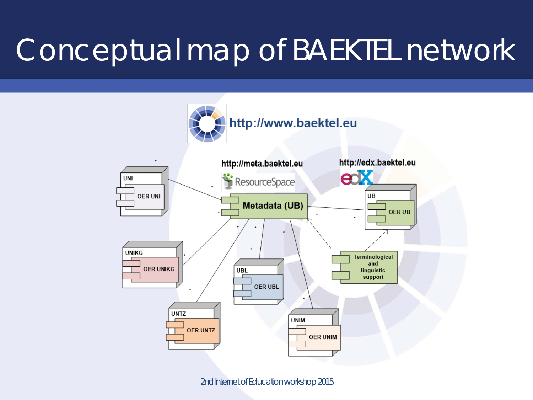### Conceptual map of BAEKTEL network

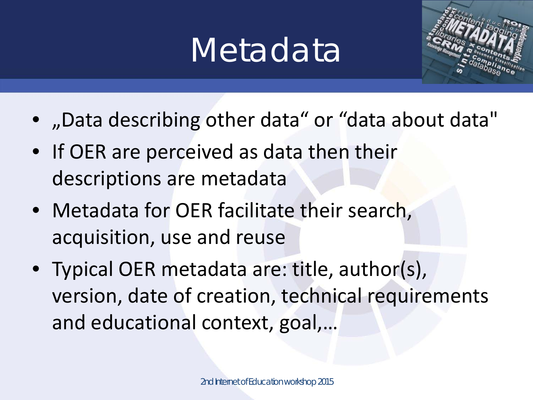# Metadata



- "Data describing other data" or "data about data"
- If OER are perceived as data then their descriptions are metadata
- Metadata for OER facilitate their search, acquisition, use and reuse
- Typical OER metadata are: title, author(s), version, date of creation, technical requirements and educational context, goal,…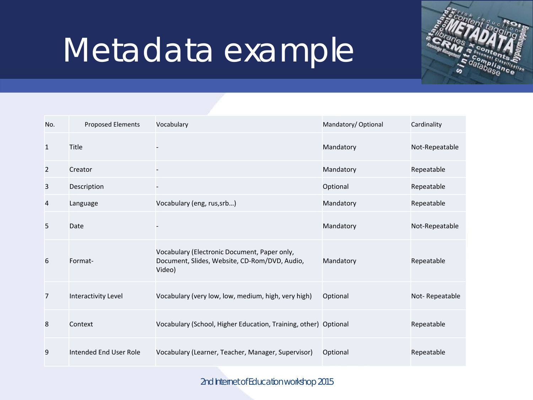# Metadata example



| No.            | <b>Proposed Elements</b> | Vocabulary                                                                                              | Mandatory/Optional | Cardinality    |
|----------------|--------------------------|---------------------------------------------------------------------------------------------------------|--------------------|----------------|
| $\mathbf{1}$   | Title                    |                                                                                                         | Mandatory          | Not-Repeatable |
| $\overline{2}$ | Creator                  |                                                                                                         | Mandatory          | Repeatable     |
| 3              | Description              |                                                                                                         | Optional           | Repeatable     |
| 4              | Language                 | Vocabulary (eng, rus, srb)                                                                              | Mandatory          | Repeatable     |
| 5              | Date                     |                                                                                                         | Mandatory          | Not-Repeatable |
| 6              | Format-                  | Vocabulary (Electronic Document, Paper only,<br>Document, Slides, Website, CD-Rom/DVD, Audio,<br>Video) | Mandatory          | Repeatable     |
| 7              | Interactivity Level      | Vocabulary (very low, low, medium, high, very high)                                                     | Optional           | Not-Repeatable |
| 8              | Context                  | Vocabulary (School, Higher Education, Training, other) Optional                                         |                    | Repeatable     |
| 9              | Intended End User Role   | Vocabulary (Learner, Teacher, Manager, Supervisor)                                                      | Optional           | Repeatable     |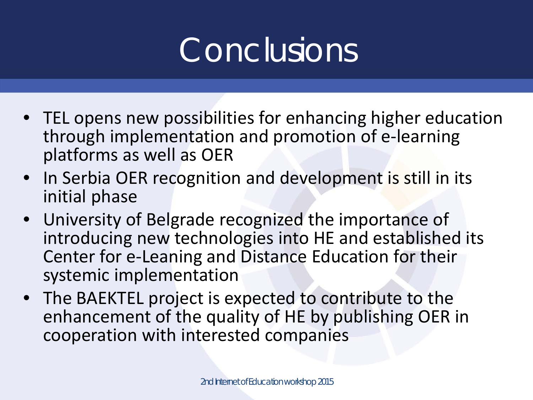# Conclusions

- TEL opens new possibilities for enhancing higher education through implementation and promotion of e-learning platforms as well as OER
- In Serbia OER recognition and development is still in its initial phase
- University of Belgrade recognized the importance of introducing new technologies into HE and established its Center for e-Leaning and Distance Education for their systemic implementation
- The BAEKTEL project is expected to contribute to the enhancement of the quality of HE by publishing OER in cooperation with interested companies